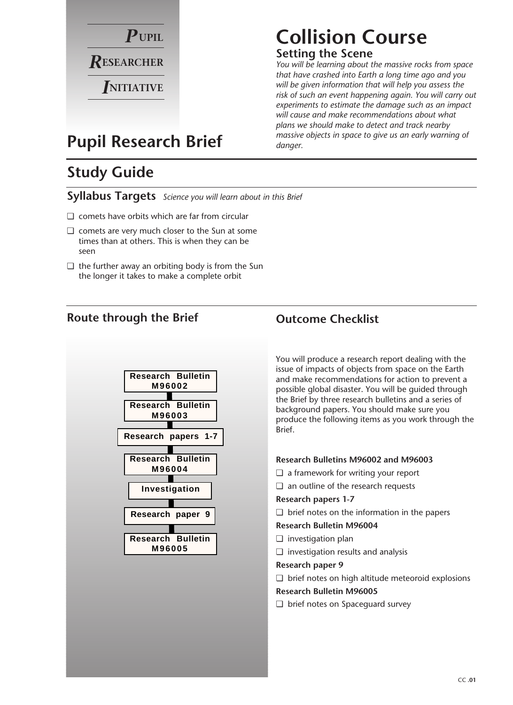

## **Collision Course**

#### **Setting the Scene**

*You will be learning about the massive rocks from space that have crashed into Earth a long time ago and you will be given information that will help you assess the risk of such an event happening again. You will carry out experiments to estimate the damage such as an impact will cause and make recommendations about what plans we should make to detect and track nearby massive objects in space to give us an early warning of danger.*

### **Pupil Research Brief**

### **Study Guide**

**Syllabus Targets** *Science you will learn about in this Brief*

- ❏ comets have orbits which are far from circular
- ❏ comets are very much closer to the Sun at some times than at others. This is when they can be seen
- ❏ the further away an orbiting body is from the Sun the longer it takes to make a complete orbit

#### **Route through the Brief Outcome Checklist**



You will produce a research report dealing with the issue of impacts of objects from space on the Earth and make recommendations for action to prevent a possible global disaster. You will be guided through the Brief by three research bulletins and a series of background papers. You should make sure you produce the following items as you work through the Brief.

#### **Research Bulletins M96002 and M96003**

- ❏ a framework for writing your report
- ❏ an outline of the research requests

#### **Research papers 1-7**

❏ brief notes on the information in the papers

#### **Research Bulletin M96004**

- ❏ investigation plan
- ❏ investigation results and analysis

#### **Research paper 9**

❏ brief notes on high altitude meteoroid explosions

#### **Research Bulletin M96005**

❏ brief notes on Spaceguard survey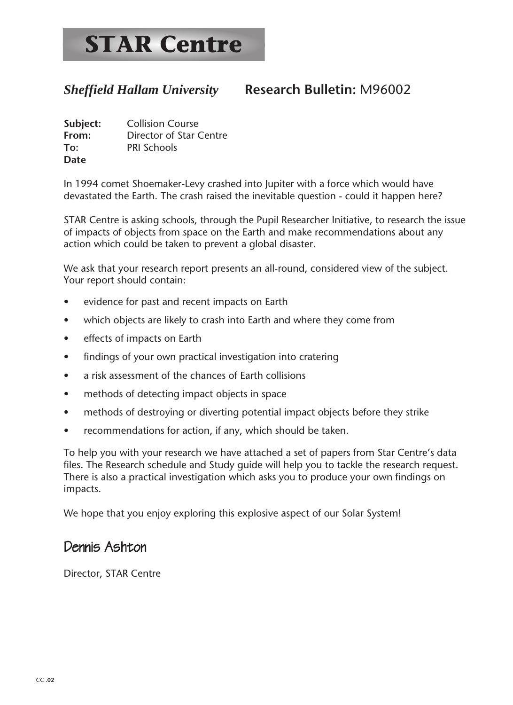### *Sheffield Hallam University* **Research Bulletin:** M96002

**Subject:** Collision Course **From:** Director of Star Centre **To:** PRI Schools **Date**

In 1994 comet Shoemaker-Levy crashed into Jupiter with a force which would have devastated the Earth. The crash raised the inevitable question - could it happen here?

STAR Centre is asking schools, through the Pupil Researcher Initiative, to research the issue of impacts of objects from space on the Earth and make recommendations about any action which could be taken to prevent a global disaster.

We ask that your research report presents an all-round, considered view of the subject. Your report should contain:

- evidence for past and recent impacts on Earth
- which objects are likely to crash into Earth and where they come from
- effects of impacts on Earth
- findings of your own practical investigation into cratering
- a risk assessment of the chances of Earth collisions
- methods of detecting impact objects in space
- methods of destroying or diverting potential impact objects before they strike
- recommendations for action, if any, which should be taken.

To help you with your research we have attached a set of papers from Star Centre's data files. The Research schedule and Study guide will help you to tackle the research request. There is also a practical investigation which asks you to produce your own findings on impacts.

We hope that you enjoy exploring this explosive aspect of our Solar System!

### Dennis Ashton

Director, STAR Centre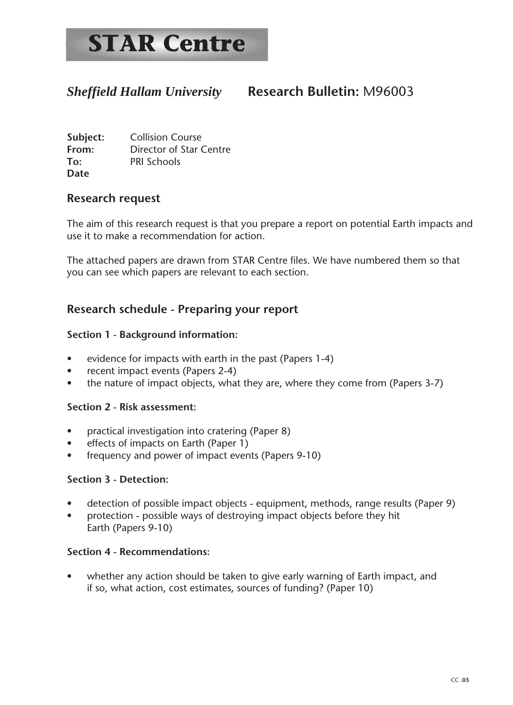#### *Sheffield Hallam University* **Research Bulletin:** M96003

**Subject:** Collision Course **From:** Director of Star Centre **To:** PRI Schools **Date**

#### **Research request**

The aim of this research request is that you prepare a report on potential Earth impacts and use it to make a recommendation for action.

The attached papers are drawn from STAR Centre files. We have numbered them so that you can see which papers are relevant to each section.

#### **Research schedule - Preparing your report**

#### **Section 1 - Background information:**

- evidence for impacts with earth in the past (Papers 1-4)
- recent impact events (Papers 2-4)
- the nature of impact objects, what they are, where they come from (Papers 3-7)

#### **Section 2 - Risk assessment:**

- practical investigation into cratering (Paper 8)
- effects of impacts on Earth (Paper 1)
- frequency and power of impact events (Papers 9-10)

#### **Section 3 - Detection:**

- detection of possible impact objects equipment, methods, range results (Paper 9)
- protection possible ways of destroying impact objects before they hit Earth (Papers 9-10)

#### **Section 4 - Recommendations:**

• whether any action should be taken to give early warning of Earth impact, and if so, what action, cost estimates, sources of funding? (Paper 10)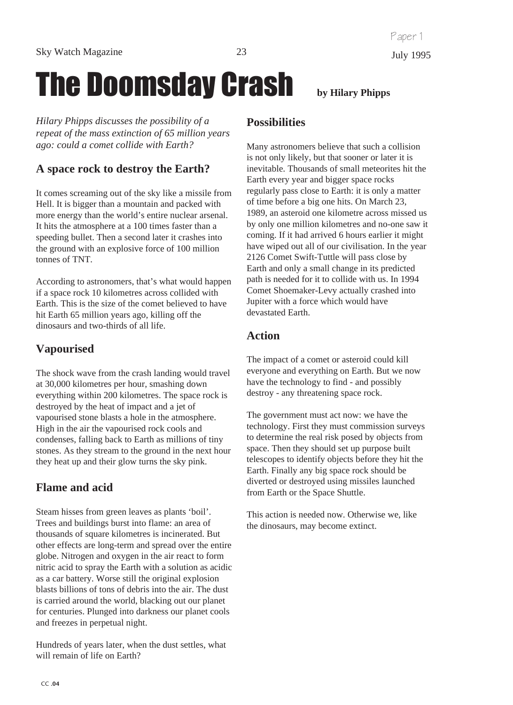# The Doomsday Crash **by Hilary Phipps**

*Hilary Phipps discusses the possibility of a repeat of the mass extinction of 65 million years ago: could a comet collide with Earth?*

#### **A space rock to destroy the Earth?**

It comes screaming out of the sky like a missile from Hell. It is bigger than a mountain and packed with more energy than the world's entire nuclear arsenal. It hits the atmosphere at a 100 times faster than a speeding bullet. Then a second later it crashes into the ground with an explosive force of 100 million tonnes of TNT.

According to astronomers, that's what would happen if a space rock 10 kilometres across collided with Earth. This is the size of the comet believed to have hit Earth 65 million years ago, killing off the dinosaurs and two-thirds of all life.

#### **Vapourised**

The shock wave from the crash landing would travel at 30,000 kilometres per hour, smashing down everything within 200 kilometres. The space rock is destroyed by the heat of impact and a jet of vapourised stone blasts a hole in the atmosphere. High in the air the vapourised rock cools and condenses, falling back to Earth as millions of tiny stones. As they stream to the ground in the next hour they heat up and their glow turns the sky pink.

#### **Flame and acid**

Steam hisses from green leaves as plants 'boil'. Trees and buildings burst into flame: an area of thousands of square kilometres is incinerated. But other effects are long-term and spread over the entire globe. Nitrogen and oxygen in the air react to form nitric acid to spray the Earth with a solution as acidic as a car battery. Worse still the original explosion blasts billions of tons of debris into the air. The dust is carried around the world, blacking out our planet for centuries. Plunged into darkness our planet cools and freezes in perpetual night.

Hundreds of years later, when the dust settles, what will remain of life on Earth?

#### **Possibilities**

Many astronomers believe that such a collision is not only likely, but that sooner or later it is inevitable. Thousands of small meteorites hit the Earth every year and bigger space rocks regularly pass close to Earth: it is only a matter of time before a big one hits. On March 23, 1989, an asteroid one kilometre across missed us by only one million kilometres and no-one saw it coming. If it had arrived 6 hours earlier it might have wiped out all of our civilisation. In the year 2126 Comet Swift-Tuttle will pass close by Earth and only a small change in its predicted path is needed for it to collide with us. In 1994 Comet Shoemaker-Levy actually crashed into Jupiter with a force which would have devastated Earth.

#### **Action**

The impact of a comet or asteroid could kill everyone and everything on Earth. But we now have the technology to find - and possibly destroy - any threatening space rock.

The government must act now: we have the technology. First they must commission surveys to determine the real risk posed by objects from space. Then they should set up purpose built telescopes to identify objects before they hit the Earth. Finally any big space rock should be diverted or destroyed using missiles launched from Earth or the Space Shuttle.

This action is needed now. Otherwise we, like the dinosaurs, may become extinct.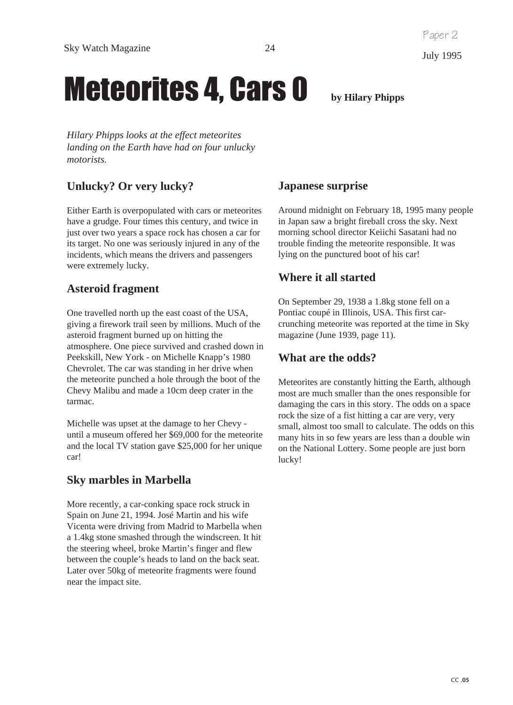## **Meteorites 4, Cars 0** by Hilary Phipps

*Hilary Phipps looks at the effect meteorites landing on the Earth have had on four unlucky motorists.*

#### **Unlucky? Or very lucky?**

Either Earth is overpopulated with cars or meteorites have a grudge. Four times this century, and twice in just over two years a space rock has chosen a car for its target. No one was seriously injured in any of the incidents, which means the drivers and passengers were extremely lucky.

#### **Asteroid fragment**

One travelled north up the east coast of the USA, giving a firework trail seen by millions. Much of the asteroid fragment burned up on hitting the atmosphere. One piece survived and crashed down in Peekskill, New York - on Michelle Knapp's 1980 Chevrolet. The car was standing in her drive when the meteorite punched a hole through the boot of the Chevy Malibu and made a 10cm deep crater in the tarmac.

Michelle was upset at the damage to her Chevy until a museum offered her \$69,000 for the meteorite and the local TV station gave \$25,000 for her unique car!

#### **Sky marbles in Marbella**

More recently, a car-conking space rock struck in Spain on June 21, 1994. José Martin and his wife Vicenta were driving from Madrid to Marbella when a 1.4kg stone smashed through the windscreen. It hit the steering wheel, broke Martin's finger and flew between the couple's heads to land on the back seat. Later over 50kg of meteorite fragments were found near the impact site.

**Japanese surprise**

Around midnight on February 18, 1995 many people in Japan saw a bright fireball cross the sky. Next morning school director Keiichi Sasatani had no trouble finding the meteorite responsible. It was lying on the punctured boot of his car!

#### **Where it all started**

On September 29, 1938 a 1.8kg stone fell on a Pontiac coupé in Illinois, USA. This first carcrunching meteorite was reported at the time in Sky magazine (June 1939, page 11).

#### **What are the odds?**

Meteorites are constantly hitting the Earth, although most are much smaller than the ones responsible for damaging the cars in this story. The odds on a space rock the size of a fist hitting a car are very, very small, almost too small to calculate. The odds on this many hits in so few years are less than a double win on the National Lottery. Some people are just born lucky!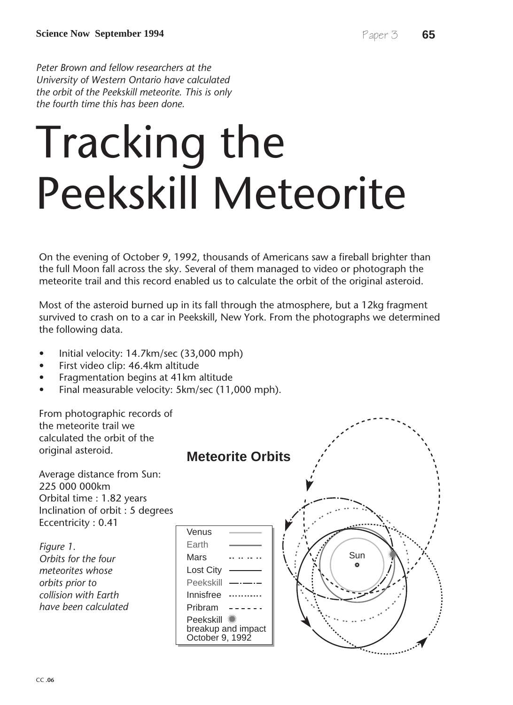*Peter Brown and fellow researchers at the University of Western Ontario have calculated the orbit of the Peekskill meteorite. This is only the fourth time this has been done.*

# Tracking the Peekskill Meteorite

On the evening of October 9, 1992, thousands of Americans saw a fireball brighter than the full Moon fall across the sky. Several of them managed to video or photograph the meteorite trail and this record enabled us to calculate the orbit of the original asteroid.

Most of the asteroid burned up in its fall through the atmosphere, but a 12kg fragment survived to crash on to a car in Peekskill, New York. From the photographs we determined the following data.

- Initial velocity: 14.7km/sec (33,000 mph)
- First video clip: 46.4km altitude
- Fragmentation begins at 41km altitude
- Final measurable velocity: 5km/sec (11,000 mph).

From photographic records of the meteorite trail we calculated the orbit of the original asteroid.

Average distance from Sun: 225 000 000km Orbital time : 1.82 years Inclination of orbit : 5 degrees Eccentricity : 0.41

*Figure 1. Orbits for the four meteorites whose orbits prior to collision with Earth have been calculated*

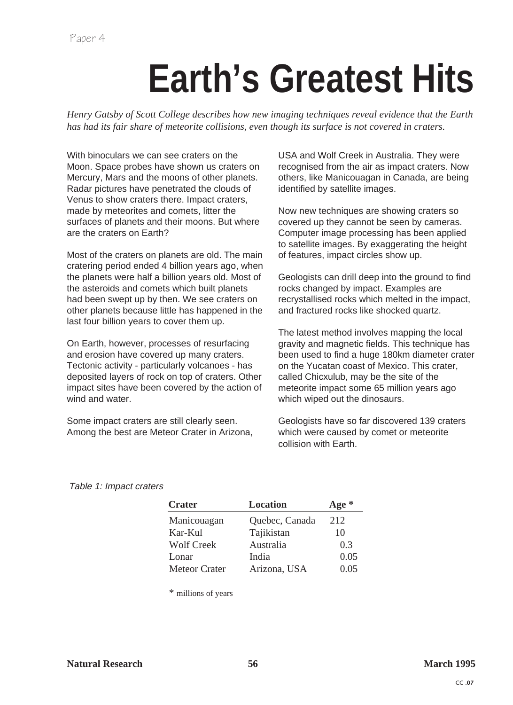# **Earth's Greatest Hits**

*Henry Gatsby of Scott College describes how new imaging techniques reveal evidence that the Earth has had its fair share of meteorite collisions, even though its surface is not covered in craters.*

With binoculars we can see craters on the Moon. Space probes have shown us craters on Mercury, Mars and the moons of other planets. Radar pictures have penetrated the clouds of Venus to show craters there. Impact craters, made by meteorites and comets, litter the surfaces of planets and their moons. But where are the craters on Earth?

Most of the craters on planets are old. The main cratering period ended 4 billion years ago, when the planets were half a billion years old. Most of the asteroids and comets which built planets had been swept up by then. We see craters on other planets because little has happened in the last four billion years to cover them up.

On Earth, however, processes of resurfacing and erosion have covered up many craters. Tectonic activity - particularly volcanoes - has deposited layers of rock on top of craters. Other impact sites have been covered by the action of wind and water.

Some impact craters are still clearly seen. Among the best are Meteor Crater in Arizona, USA and Wolf Creek in Australia. They were recognised from the air as impact craters. Now others, like Manicouagan in Canada, are being identified by satellite images.

Now new techniques are showing craters so covered up they cannot be seen by cameras. Computer image processing has been applied to satellite images. By exaggerating the height of features, impact circles show up.

Geologists can drill deep into the ground to find rocks changed by impact. Examples are recrystallised rocks which melted in the impact, and fractured rocks like shocked quartz.

The latest method involves mapping the local gravity and magnetic fields. This technique has been used to find a huge 180km diameter crater on the Yucatan coast of Mexico. This crater, called Chicxulub, may be the site of the meteorite impact some 65 million years ago which wiped out the dinosaurs.

Geologists have so far discovered 139 craters which were caused by comet or meteorite collision with Earth.

#### Table 1: Impact craters

| <b>Crater</b>        | <b>Location</b> | Age $*$ |
|----------------------|-----------------|---------|
| Manicouagan          | Quebec, Canada  | 212     |
| Kar-Kul              | Tajikistan      | 10      |
| <b>Wolf Creek</b>    | Australia       | 0.3     |
| Lonar                | India           | 0.05    |
| <b>Meteor Crater</b> | Arizona, USA    | 0.05    |

\* millions of years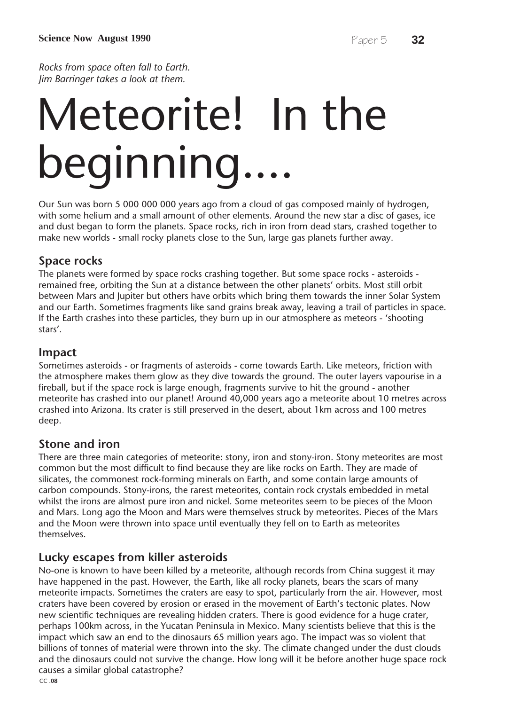*Rocks from space often fall to Earth. Jim Barringer takes a look at them.*

# Meteorite! In the beginning....

Our Sun was born 5 000 000 000 years ago from a cloud of gas composed mainly of hydrogen, with some helium and a small amount of other elements. Around the new star a disc of gases, ice and dust began to form the planets. Space rocks, rich in iron from dead stars, crashed together to make new worlds - small rocky planets close to the Sun, large gas planets further away.

#### **Space rocks**

The planets were formed by space rocks crashing together. But some space rocks - asteroids remained free, orbiting the Sun at a distance between the other planets' orbits. Most still orbit between Mars and Jupiter but others have orbits which bring them towards the inner Solar System and our Earth. Sometimes fragments like sand grains break away, leaving a trail of particles in space. If the Earth crashes into these particles, they burn up in our atmosphere as meteors - 'shooting stars'.

#### **Impact**

Sometimes asteroids - or fragments of asteroids - come towards Earth. Like meteors, friction with the atmosphere makes them glow as they dive towards the ground. The outer layers vapourise in a fireball, but if the space rock is large enough, fragments survive to hit the ground - another meteorite has crashed into our planet! Around 40,000 years ago a meteorite about 10 metres across crashed into Arizona. Its crater is still preserved in the desert, about 1km across and 100 metres deep.

#### **Stone and iron**

There are three main categories of meteorite: stony, iron and stony-iron. Stony meteorites are most common but the most difficult to find because they are like rocks on Earth. They are made of silicates, the commonest rock-forming minerals on Earth, and some contain large amounts of carbon compounds. Stony-irons, the rarest meteorites, contain rock crystals embedded in metal whilst the irons are almost pure iron and nickel. Some meteorites seem to be pieces of the Moon and Mars. Long ago the Moon and Mars were themselves struck by meteorites. Pieces of the Mars and the Moon were thrown into space until eventually they fell on to Earth as meteorites themselves.

#### **Lucky escapes from killer asteroids**

No-one is known to have been killed by a meteorite, although records from China suggest it may have happened in the past. However, the Earth, like all rocky planets, bears the scars of many meteorite impacts. Sometimes the craters are easy to spot, particularly from the air. However, most craters have been covered by erosion or erased in the movement of Earth's tectonic plates. Now new scientific techniques are revealing hidden craters. There is good evidence for a huge crater, perhaps 100km across, in the Yucatan Peninsula in Mexico. Many scientists believe that this is the impact which saw an end to the dinosaurs 65 million years ago. The impact was so violent that billions of tonnes of material were thrown into the sky. The climate changed under the dust clouds and the dinosaurs could not survive the change. How long will it be before another huge space rock causes a similar global catastrophe?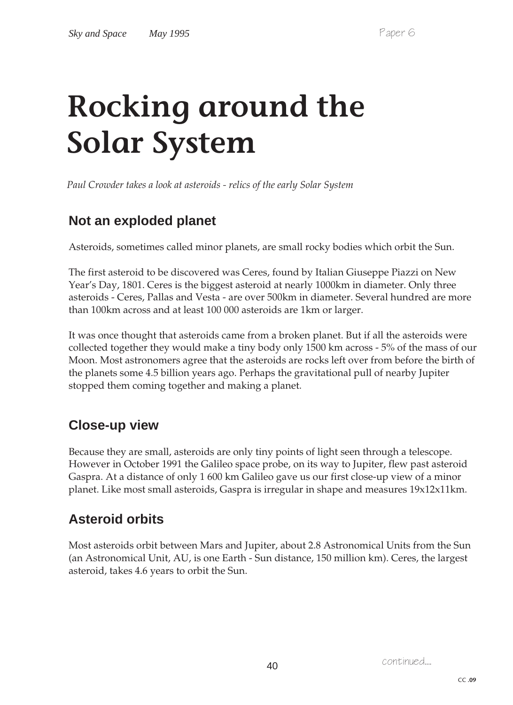# **Rocking around the Solar System**

*Paul Crowder takes a look at asteroids - relics of the early Solar System*

### **Not an exploded planet**

Asteroids, sometimes called minor planets, are small rocky bodies which orbit the Sun.

The first asteroid to be discovered was Ceres, found by Italian Giuseppe Piazzi on New Year's Day, 1801. Ceres is the biggest asteroid at nearly 1000km in diameter. Only three asteroids - Ceres, Pallas and Vesta - are over 500km in diameter. Several hundred are more than 100km across and at least 100 000 asteroids are 1km or larger.

It was once thought that asteroids came from a broken planet. But if all the asteroids were collected together they would make a tiny body only 1500 km across - 5% of the mass of our Moon. Most astronomers agree that the asteroids are rocks left over from before the birth of the planets some 4.5 billion years ago. Perhaps the gravitational pull of nearby Jupiter stopped them coming together and making a planet.

### **Close-up view**

Because they are small, asteroids are only tiny points of light seen through a telescope. However in October 1991 the Galileo space probe, on its way to Jupiter, flew past asteroid Gaspra. At a distance of only 1 600 km Galileo gave us our first close-up view of a minor planet. Like most small asteroids, Gaspra is irregular in shape and measures 19x12x11km.

### **Asteroid orbits**

Most asteroids orbit between Mars and Jupiter, about 2.8 Astronomical Units from the Sun (an Astronomical Unit, AU, is one Earth - Sun distance, 150 million km). Ceres, the largest asteroid, takes 4.6 years to orbit the Sun.

continued.... <sup>40</sup>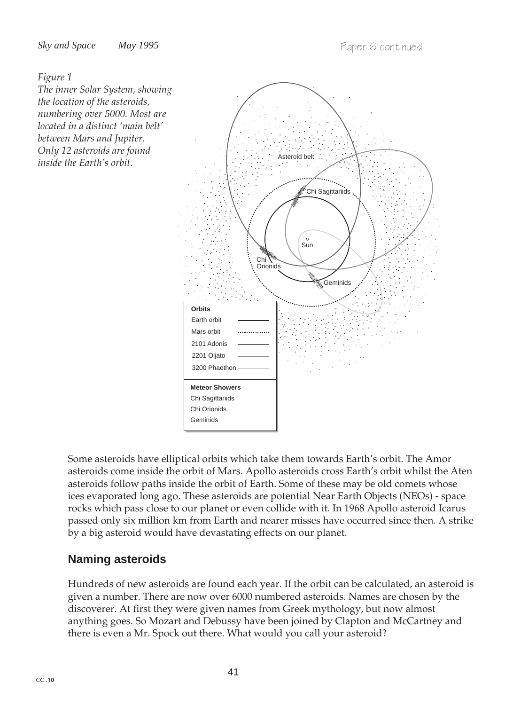#### *Figure 1*

*The inner Solar System, showing the location of the asteroids, numbering over 5000. Most are located in a distinct 'main belt' between Mars and Jupiter. Only 12 asteroids are found inside the Earth's orbit.*



Some asteroids have elliptical orbits which take them towards Earth's orbit. The Amor asteroids come inside the orbit of Mars. Apollo asteroids cross Earth's orbit whilst the Aten asteroids follow paths inside the orbit of Earth. Some of these may be old comets whose ices evaporated long ago. These asteroids are potential Near Earth Objects (NEOs) - space rocks which pass close to our planet or even collide with it. In 1968 Apollo asteroid Icarus passed only six million km from Earth and nearer misses have occurred since then. A strike by a big asteroid would have devastating effects on our planet.

#### **Naming asteroids**

Hundreds of new asteroids are found each year. If the orbit can be calculated, an asteroid is given a number. There are now over 6000 numbered asteroids. Names are chosen by the discoverer. At first they were given names from Greek mythology, but now almost anything goes. So Mozart and Debussy have been joined by Clapton and McCartney and there is even a Mr. Spock out there. What would you call your asteroid?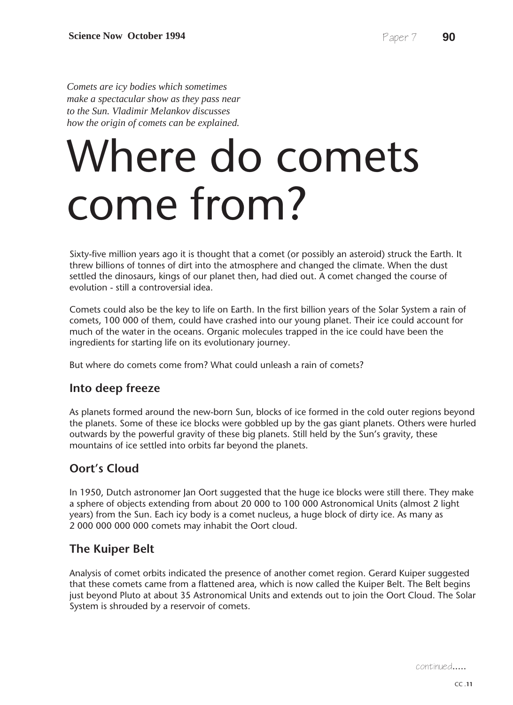*Comets are icy bodies which sometimes make a spectacular show as they pass near to the Sun. Vladimir Melankov discusses how the origin of comets can be explained.*

# Where do comets come from?

Sixty-five million years ago it is thought that a comet (or possibly an asteroid) struck the Earth. It threw billions of tonnes of dirt into the atmosphere and changed the climate. When the dust settled the dinosaurs, kings of our planet then, had died out. A comet changed the course of evolution - still a controversial idea.

Comets could also be the key to life on Earth. In the first billion years of the Solar System a rain of comets, 100 000 of them, could have crashed into our young planet. Their ice could account for much of the water in the oceans. Organic molecules trapped in the ice could have been the ingredients for starting life on its evolutionary journey.

But where do comets come from? What could unleash a rain of comets?

#### **Into deep freeze**

As planets formed around the new-born Sun, blocks of ice formed in the cold outer regions beyond the planets. Some of these ice blocks were gobbled up by the gas giant planets. Others were hurled outwards by the powerful gravity of these big planets. Still held by the Sun's gravity, these mountains of ice settled into orbits far beyond the planets.

#### **Oort's Cloud**

In 1950, Dutch astronomer Jan Oort suggested that the huge ice blocks were still there. They make a sphere of objects extending from about 20 000 to 100 000 Astronomical Units (almost 2 light years) from the Sun. Each icy body is a comet nucleus, a huge block of dirty ice. As many as 2 000 000 000 000 comets may inhabit the Oort cloud.

#### **The Kuiper Belt**

Analysis of comet orbits indicated the presence of another comet region. Gerard Kuiper suggested that these comets came from a flattened area, which is now called the Kuiper Belt. The Belt begins just beyond Pluto at about 35 Astronomical Units and extends out to join the Oort Cloud. The Solar System is shrouded by a reservoir of comets.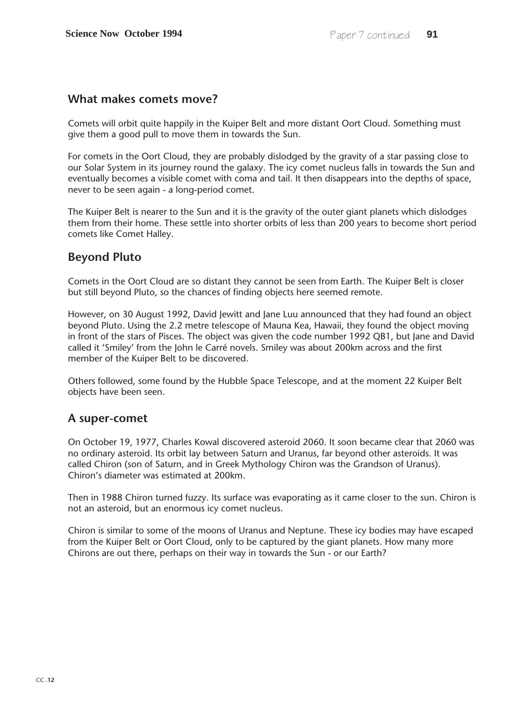#### **What makes comets move?**

Comets will orbit quite happily in the Kuiper Belt and more distant Oort Cloud. Something must give them a good pull to move them in towards the Sun.

For comets in the Oort Cloud, they are probably dislodged by the gravity of a star passing close to our Solar System in its journey round the galaxy. The icy comet nucleus falls in towards the Sun and eventually becomes a visible comet with coma and tail. It then disappears into the depths of space, never to be seen again - a long-period comet.

The Kuiper Belt is nearer to the Sun and it is the gravity of the outer giant planets which dislodges them from their home. These settle into shorter orbits of less than 200 years to become short period comets like Comet Halley.

#### **Beyond Pluto**

Comets in the Oort Cloud are so distant they cannot be seen from Earth. The Kuiper Belt is closer but still beyond Pluto, so the chances of finding objects here seemed remote.

However, on 30 August 1992, David Jewitt and Jane Luu announced that they had found an object beyond Pluto. Using the 2.2 metre telescope of Mauna Kea, Hawaii, they found the object moving in front of the stars of Pisces. The object was given the code number 1992 QB1, but Jane and David called it 'Smiley' from the John le Carré novels. Smiley was about 200km across and the first member of the Kuiper Belt to be discovered.

Others followed, some found by the Hubble Space Telescope, and at the moment 22 Kuiper Belt objects have been seen.

#### **A super-comet**

On October 19, 1977, Charles Kowal discovered asteroid 2060. It soon became clear that 2060 was no ordinary asteroid. Its orbit lay between Saturn and Uranus, far beyond other asteroids. It was called Chiron (son of Saturn, and in Greek Mythology Chiron was the Grandson of Uranus). Chiron's diameter was estimated at 200km.

Then in 1988 Chiron turned fuzzy. Its surface was evaporating as it came closer to the sun. Chiron is not an asteroid, but an enormous icy comet nucleus.

Chiron is similar to some of the moons of Uranus and Neptune. These icy bodies may have escaped from the Kuiper Belt or Oort Cloud, only to be captured by the giant planets. How many more Chirons are out there, perhaps on their way in towards the Sun - or our Earth?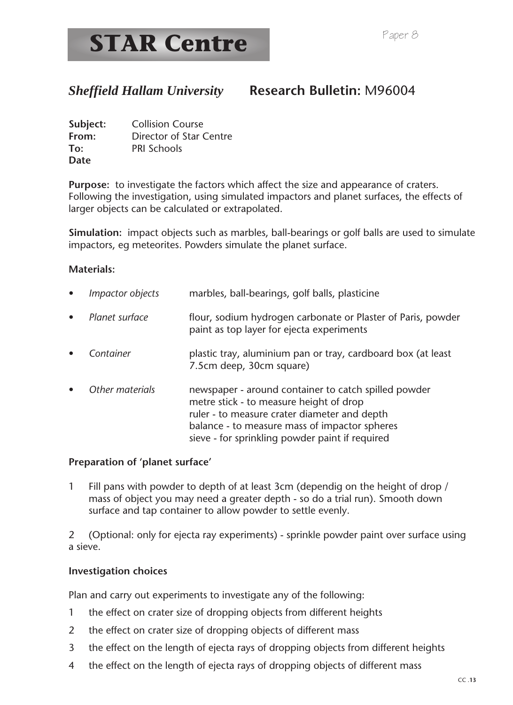#### *Sheffield Hallam University* **Research Bulletin:** M96004

| Subject: | <b>Collision Course</b> |
|----------|-------------------------|
| From:    | Director of Star Centre |
| To:      | <b>PRI Schools</b>      |
| Date     |                         |

**Purpose:** to investigate the factors which affect the size and appearance of craters. Following the investigation, using simulated impactors and planet surfaces, the effects of larger objects can be calculated or extrapolated.

**Simulation:** impact objects such as marbles, ball-bearings or golf balls are used to simulate impactors, eg meteorites. Powders simulate the planet surface.

#### **Materials:**

| $\bullet$ | <i>Impactor objects</i> | marbles, ball-bearings, golf balls, plasticine                                                                                                                                                                                                      |
|-----------|-------------------------|-----------------------------------------------------------------------------------------------------------------------------------------------------------------------------------------------------------------------------------------------------|
| $\bullet$ | Planet surface          | flour, sodium hydrogen carbonate or Plaster of Paris, powder<br>paint as top layer for ejecta experiments                                                                                                                                           |
| $\bullet$ | Container               | plastic tray, aluminium pan or tray, cardboard box (at least<br>7.5cm deep, 30cm square)                                                                                                                                                            |
| $\bullet$ | Other materials         | newspaper - around container to catch spilled powder<br>metre stick - to measure height of drop<br>ruler - to measure crater diameter and depth<br>balance - to measure mass of impactor spheres<br>sieve - for sprinkling powder paint if required |

#### **Preparation of 'planet surface'**

1 Fill pans with powder to depth of at least 3cm (dependig on the height of drop / mass of object you may need a greater depth - so do a trial run). Smooth down surface and tap container to allow powder to settle evenly.

2 (Optional: only for ejecta ray experiments) - sprinkle powder paint over surface using a sieve.

#### **Investigation choices**

Plan and carry out experiments to investigate any of the following:

- 1 the effect on crater size of dropping objects from different heights
- 2 the effect on crater size of dropping objects of different mass
- 3 the effect on the length of ejecta rays of dropping objects from different heights
- 4 the effect on the length of ejecta rays of dropping objects of different mass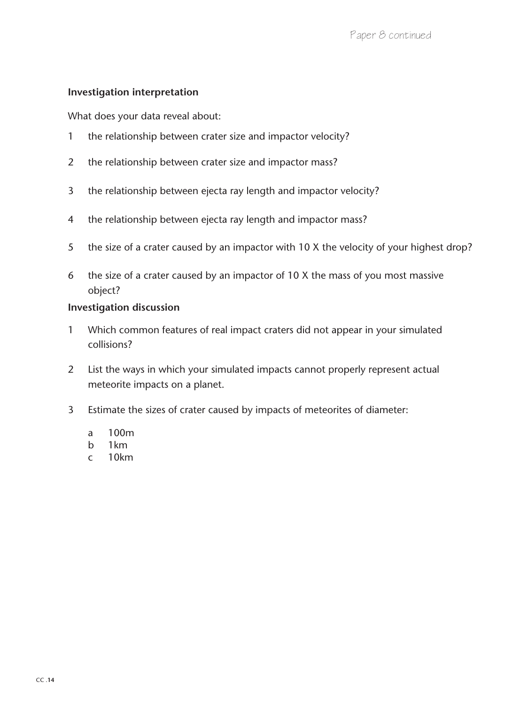#### **Investigation interpretation**

What does your data reveal about:

- 1 the relationship between crater size and impactor velocity?
- 2 the relationship between crater size and impactor mass?
- 3 the relationship between ejecta ray length and impactor velocity?
- 4 the relationship between ejecta ray length and impactor mass?
- 5 the size of a crater caused by an impactor with 10 X the velocity of your highest drop?
- 6 the size of a crater caused by an impactor of 10 X the mass of you most massive object?

#### **Investigation discussion**

- 1 Which common features of real impact craters did not appear in your simulated collisions?
- 2 List the ways in which your simulated impacts cannot properly represent actual meteorite impacts on a planet.
- 3 Estimate the sizes of crater caused by impacts of meteorites of diameter:
	- a 100m
	- b 1km
	- c 10km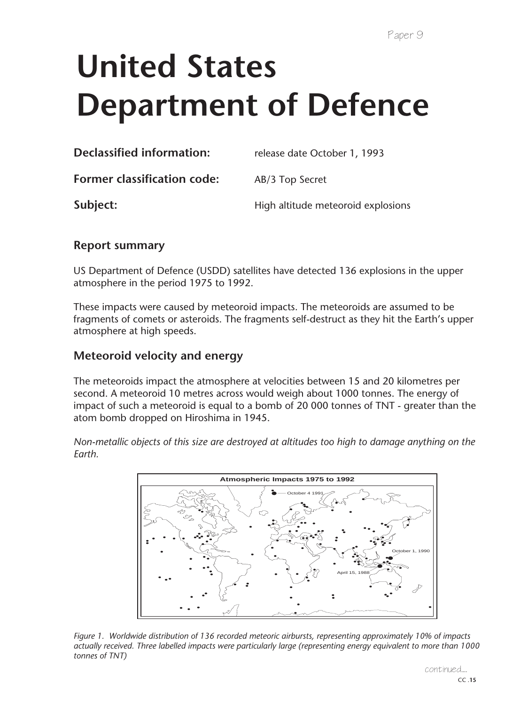# **United States Department of Defence**

| <b>Declassified information:</b>   | release date October 1, 1993       |
|------------------------------------|------------------------------------|
| <b>Former classification code:</b> | AB/3 Top Secret                    |
| Subject:                           | High altitude meteoroid explosions |
|                                    |                                    |

#### **Report summary**

US Department of Defence (USDD) satellites have detected 136 explosions in the upper atmosphere in the period 1975 to 1992.

These impacts were caused by meteoroid impacts. The meteoroids are assumed to be fragments of comets or asteroids. The fragments self-destruct as they hit the Earth's upper atmosphere at high speeds.

#### **Meteoroid velocity and energy**

The meteoroids impact the atmosphere at velocities between 15 and 20 kilometres per second. A meteoroid 10 metres across would weigh about 1000 tonnes. The energy of impact of such a meteoroid is equal to a bomb of 20 000 tonnes of TNT - greater than the atom bomb dropped on Hiroshima in 1945.

*Non-metallic objects of this size are destroyed at altitudes too high to damage anything on the Earth.*



*Figure 1. Worldwide distribution of 136 recorded meteoric airbursts, representing approximately 10% of impacts actually received. Three labelled impacts were particularly large (representing energy equivalent to more than 1000 tonnes of TNT)*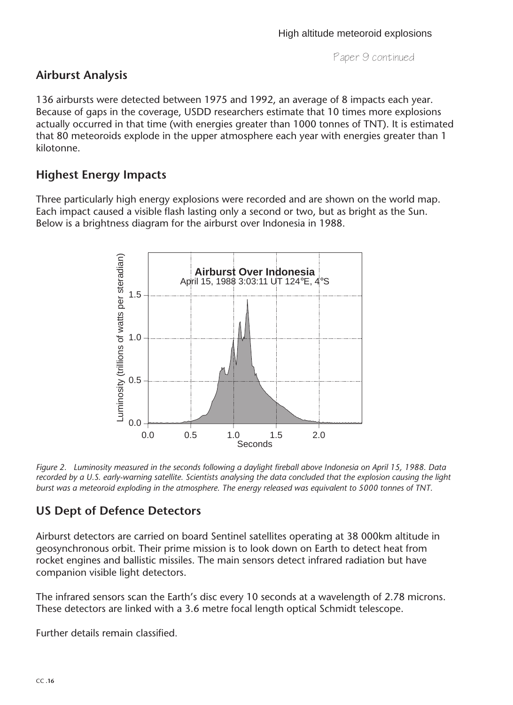#### **Airburst Analysis**

136 airbursts were detected between 1975 and 1992, an average of 8 impacts each year. Because of gaps in the coverage, USDD researchers estimate that 10 times more explosions actually occurred in that time (with energies greater than 1000 tonnes of TNT). It is estimated that 80 meteoroids explode in the upper atmosphere each year with energies greater than 1 kilotonne.

#### **Highest Energy Impacts**

Three particularly high energy explosions were recorded and are shown on the world map. Each impact caused a visible flash lasting only a second or two, but as bright as the Sun. Below is a brightness diagram for the airburst over Indonesia in 1988.



*Figure 2. Luminosity measured in the seconds following a daylight fireball above Indonesia on April 15, 1988. Data recorded by a U.S. early-warning satellite. Scientists analysing the data concluded that the explosion causing the light burst was a meteoroid exploding in the atmosphere. The energy released was equivalent to 5000 tonnes of TNT.*

#### **US Dept of Defence Detectors**

Airburst detectors are carried on board Sentinel satellites operating at 38 000km altitude in geosynchronous orbit. Their prime mission is to look down on Earth to detect heat from rocket engines and ballistic missiles. The main sensors detect infrared radiation but have companion visible light detectors.

The infrared sensors scan the Earth's disc every 10 seconds at a wavelength of 2.78 microns. These detectors are linked with a 3.6 metre focal length optical Schmidt telescope.

Further details remain classified.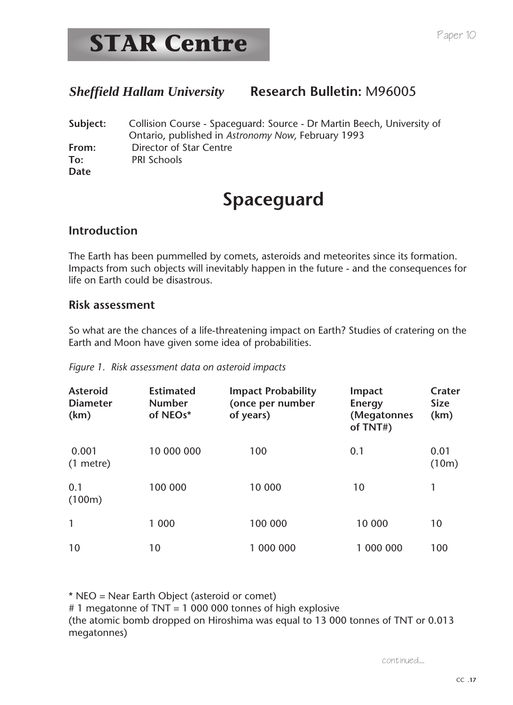### *Sheffield Hallam University* **Research Bulletin:** M96005

**Subject:** Collision Course - Spaceguard: Source - Dr Martin Beech, University of Ontario, published in *Astronomy Now,* February 1993 **From:** Director of Star Centre **To:** PRI Schools **Date**

### **Spaceguard**

#### **Introduction**

The Earth has been pummelled by comets, asteroids and meteorites since its formation. Impacts from such objects will inevitably happen in the future - and the consequences for life on Earth could be disastrous.

#### **Risk assessment**

So what are the chances of a life-threatening impact on Earth? Studies of cratering on the Earth and Moon have given some idea of probabilities.

|  | Figure 1. Risk assessment data on asteroid impacts |  |  |
|--|----------------------------------------------------|--|--|

| <b>Asteroid</b><br><b>Diameter</b><br>(km) | <b>Estimated</b><br><b>Number</b><br>of NEOs* | <b>Impact Probability</b><br>(once per number<br>of years) | Impact<br><b>Energy</b><br>(Megatonnes<br>of TNT#) | Crater<br><b>Size</b><br>(km) |
|--------------------------------------------|-----------------------------------------------|------------------------------------------------------------|----------------------------------------------------|-------------------------------|
| 0.001<br>$(1$ metre)                       | 10 000 000                                    | 100                                                        | 0.1                                                | 0.01<br>(10m)                 |
| 0.1<br>(100m)                              | 100 000                                       | 10 000                                                     | 10                                                 | 1                             |
| $\mathbf{1}$                               | 1 000                                         | 100 000                                                    | 10 000                                             | 10                            |
| 10                                         | 10                                            | 1 000 000                                                  | 1 000 000                                          | 100                           |

\* NEO = Near Earth Object (asteroid or comet)

# 1 megatonne of TNT = 1 000 000 tonnes of high explosive (the atomic bomb dropped on Hiroshima was equal to 13 000 tonnes of TNT or 0.013 megatonnes)

continued....